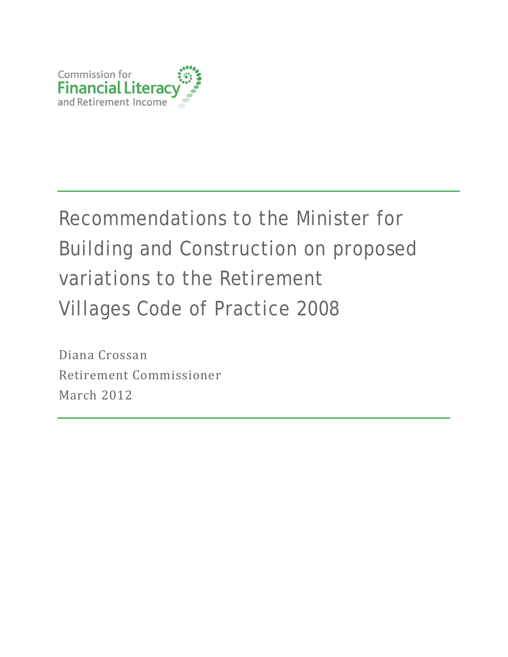

# Recommendations to the Minister for Building and Construction on proposed variations to the Retirement Villages Code of Practice 2008

Diana Crossan Retirement Commissioner March 2012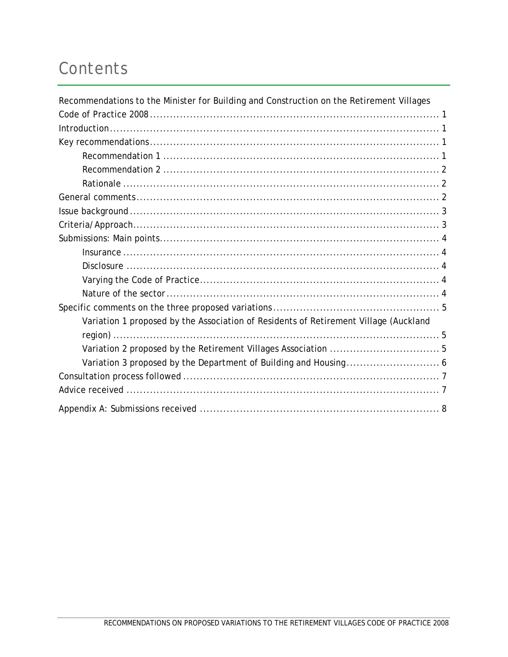## Contents

| Recommendations to the Minister for Building and Construction on the Retirement Villages |  |
|------------------------------------------------------------------------------------------|--|
|                                                                                          |  |
|                                                                                          |  |
|                                                                                          |  |
|                                                                                          |  |
|                                                                                          |  |
|                                                                                          |  |
|                                                                                          |  |
|                                                                                          |  |
|                                                                                          |  |
|                                                                                          |  |
|                                                                                          |  |
|                                                                                          |  |
|                                                                                          |  |
|                                                                                          |  |
|                                                                                          |  |
| Variation 1 proposed by the Association of Residents of Retirement Village (Auckland     |  |
|                                                                                          |  |
|                                                                                          |  |
|                                                                                          |  |
|                                                                                          |  |
|                                                                                          |  |
|                                                                                          |  |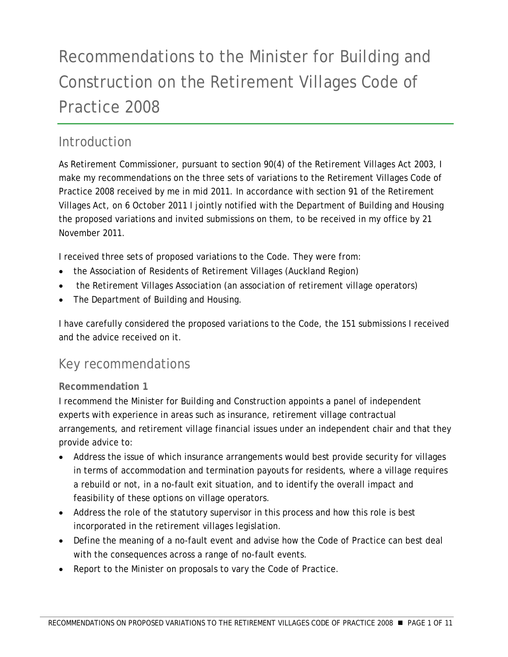## <span id="page-2-0"></span>Recommendations to the Minister for Building and Construction on the Retirement Villages Code of Practice 2008

## **Introduction**

As Retirement Commissioner, pursuant to section 90(4) of the Retirement Villages Act 2003, I make my recommendations on the three sets of variations to the Retirement Villages Code of Practice 2008 received by me in mid 2011. In accordance with section 91 of the Retirement Villages Act, on 6 October 2011 I jointly notified with the Department of Building and Housing the proposed variations and invited submissions on them, to be received in my office by 21 November 2011.

I received three sets of proposed variations to the Code. They were from:

- the Association of Residents of Retirement Villages (Auckland Region)
- the Retirement Villages Association (an association of retirement village operators)
- The Department of Building and Housing.

I have carefully considered the proposed variations to the Code, the 151 submissions I received and the advice received on it.

## Key recommendations

#### **Recommendation 1**

I recommend the Minister for Building and Construction appoints a panel of independent experts with experience in areas such as insurance, retirement village contractual arrangements, and retirement village financial issues under an independent chair and that they provide advice to:

- Address the issue of which insurance arrangements would best provide security for villages in terms of accommodation and termination payouts for residents, where a village requires a rebuild or not, in a no-fault exit situation, and to identify the overall impact and feasibility of these options on village operators.
- Address the role of the statutory supervisor in this process and how this role is best incorporated in the retirement villages legislation.
- Define the meaning of a no-fault event and advise how the Code of Practice can best deal with the consequences across a range of no-fault events.
- Report to the Minister on proposals to vary the Code of Practice.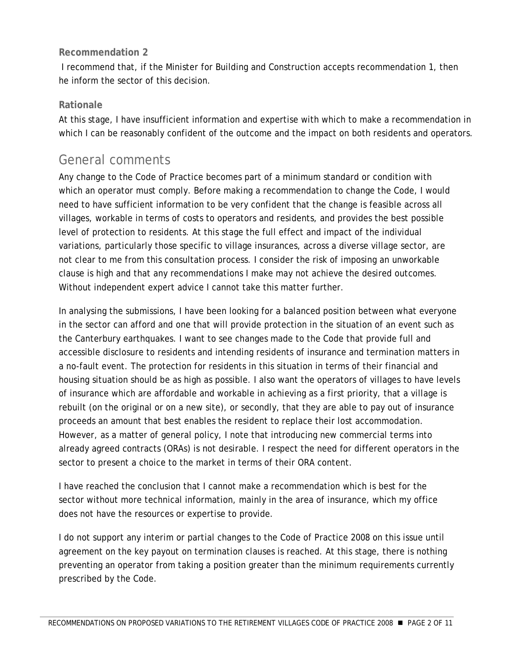#### <span id="page-3-0"></span>**Recommendation 2**

 I recommend that, if the Minister for Building and Construction accepts recommendation 1, then he inform the sector of this decision.

#### **Rationale**

At this stage, I have insufficient information and expertise with which to make a recommendation in which I can be reasonably confident of the outcome and the impact on both residents and operators.

### General comments

Any change to the Code of Practice becomes part of a minimum standard or condition with which an operator must comply. Before making a recommendation to change the Code, I would need to have sufficient information to be very confident that the change is feasible across all villages, workable in terms of costs to operators and residents, and provides the best possible level of protection to residents. At this stage the full effect and impact of the individual variations, particularly those specific to village insurances, across a diverse village sector, are not clear to me from this consultation process. I consider the risk of imposing an unworkable clause is high and that any recommendations I make may not achieve the desired outcomes. Without independent expert advice I cannot take this matter further.

In analysing the submissions, I have been looking for a balanced position between what everyone in the sector can afford and one that will provide protection in the situation of an event such as the Canterbury earthquakes. I want to see changes made to the Code that provide full and accessible disclosure to residents and intending residents of insurance and termination matters in a no-fault event. The protection for residents in this situation in terms of their financial and housing situation should be as high as possible. I also want the operators of villages to have levels of insurance which are affordable and workable in achieving as a first priority, that a village is rebuilt (on the original or on a new site), or secondly, that they are able to pay out of insurance proceeds an amount that best enables the resident to replace their lost accommodation. However, as a matter of general policy, I note that introducing new commercial terms into already agreed contracts (ORAs) is not desirable. I respect the need for different operators in the sector to present a choice to the market in terms of their ORA content.

I have reached the conclusion that I cannot make a recommendation which is best for the sector without more technical information, mainly in the area of insurance, which my office does not have the resources or expertise to provide.

I do not support any interim or partial changes to the Code of Practice 2008 on this issue until agreement on the key payout on termination clauses is reached. At this stage, there is nothing preventing an operator from taking a position greater than the minimum requirements currently prescribed by the Code.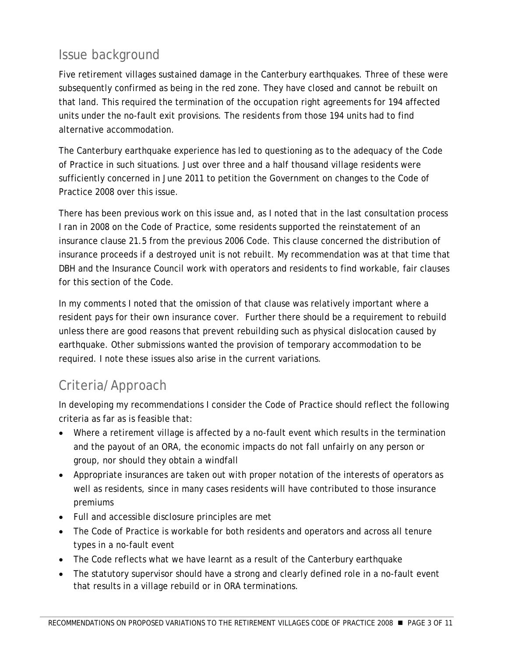## <span id="page-4-0"></span>Issue background

Five retirement villages sustained damage in the Canterbury earthquakes. Three of these were subsequently confirmed as being in the red zone. They have closed and cannot be rebuilt on that land. This required the termination of the occupation right agreements for 194 affected units under the no-fault exit provisions. The residents from those 194 units had to find alternative accommodation.

The Canterbury earthquake experience has led to questioning as to the adequacy of the Code of Practice in such situations. Just over three and a half thousand village residents were sufficiently concerned in June 2011 to petition the Government on changes to the Code of Practice 2008 over this issue.

There has been previous work on this issue and, as I noted that in the last consultation process I ran in 2008 on the Code of Practice, some residents supported the reinstatement of an insurance clause 21.5 from the previous 2006 Code. This clause concerned the distribution of insurance proceeds if a destroyed unit is not rebuilt. My recommendation was at that time that DBH and the Insurance Council work with operators and residents to find workable, fair clauses for this section of the Code.

In my comments I noted that the omission of that clause was relatively important where a resident pays for their own insurance cover. Further there should be a requirement to rebuild unless there are good reasons that prevent rebuilding such as physical dislocation caused by earthquake. Other submissions wanted the provision of temporary accommodation to be required. I note these issues also arise in the current variations.

## Criteria/Approach

In developing my recommendations I consider the Code of Practice should reflect the following criteria as far as is feasible that:

- Where a retirement village is affected by a no-fault event which results in the termination and the payout of an ORA, the economic impacts do not fall unfairly on any person or group, nor should they obtain a windfall
- Appropriate insurances are taken out with proper notation of the interests of operators as well as residents, since in many cases residents will have contributed to those insurance premiums
- Full and accessible disclosure principles are met
- The Code of Practice is workable for both residents and operators and across all tenure types in a no-fault event
- The Code reflects what we have learnt as a result of the Canterbury earthquake
- The statutory supervisor should have a strong and clearly defined role in a no-fault event that results in a village rebuild or in ORA terminations.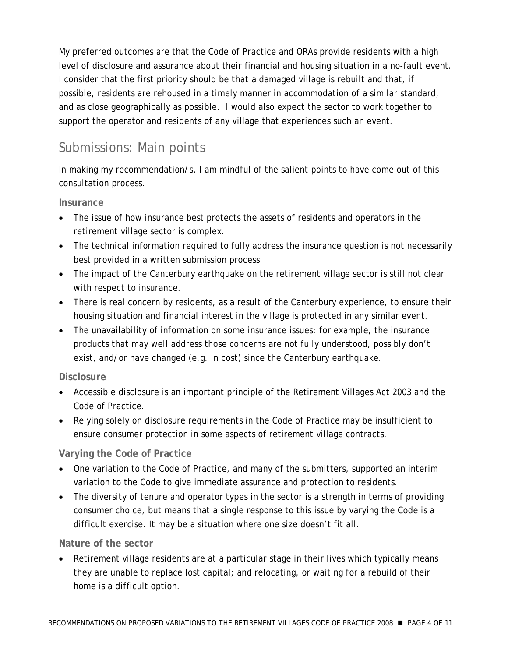<span id="page-5-0"></span>My preferred outcomes are that the Code of Practice and ORAs provide residents with a high level of disclosure and assurance about their financial and housing situation in a no-fault event. I consider that the first priority should be that a damaged village is rebuilt and that, if possible, residents are rehoused in a timely manner in accommodation of a similar standard, and as close geographically as possible. I would also expect the sector to work together to support the operator and residents of any village that experiences such an event.

## Submissions: Main points

In making my recommendation/s, I am mindful of the salient points to have come out of this consultation process.

#### **Insurance**

- The issue of how insurance best protects the assets of residents and operators in the retirement village sector is complex.
- The technical information required to fully address the insurance question is not necessarily best provided in a written submission process.
- The impact of the Canterbury earthquake on the retirement village sector is still not clear with respect to insurance.
- There is real concern by residents, as a result of the Canterbury experience, to ensure their housing situation and financial interest in the village is protected in any similar event.
- The unavailability of information on some insurance issues: for example, the insurance products that may well address those concerns are not fully understood, possibly don't exist, and/or have changed (e.g. in cost) since the Canterbury earthquake.

#### **Disclosure**

- Accessible disclosure is an important principle of the Retirement Villages Act 2003 and the Code of Practice.
- Relying solely on disclosure requirements in the Code of Practice may be insufficient to ensure consumer protection in some aspects of retirement village contracts.

#### **Varying the Code of Practice**

- One variation to the Code of Practice, and many of the submitters, supported an interim variation to the Code to give immediate assurance and protection to residents.
- The diversity of tenure and operator types in the sector is a strength in terms of providing consumer choice, but means that a single response to this issue by varying the Code is a difficult exercise. It may be a situation where one size doesn't fit all.

#### **Nature of the sector**

Retirement village residents are at a particular stage in their lives which typically means they are unable to replace lost capital; and relocating, or waiting for a rebuild of their home is a difficult option.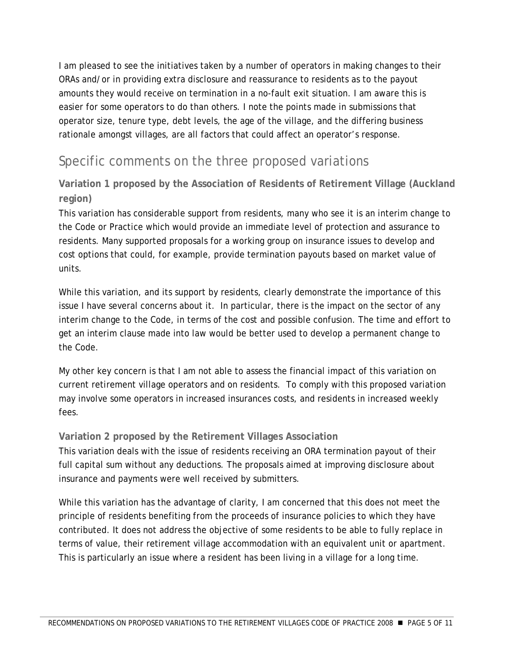<span id="page-6-0"></span>I am pleased to see the initiatives taken by a number of operators in making changes to their ORAs and/or in providing extra disclosure and reassurance to residents as to the payout amounts they would receive on termination in a no-fault exit situation. I am aware this is easier for some operators to do than others. I note the points made in submissions that operator size, tenure type, debt levels, the age of the village, and the differing business rationale amongst villages, are all factors that could affect an operator's response.

## Specific comments on the three proposed variations

#### **Variation 1 proposed by the Association of Residents of Retirement Village (Auckland region)**

This variation has considerable support from residents, many who see it is an interim change to the Code or Practice which would provide an immediate level of protection and assurance to residents. Many supported proposals for a working group on insurance issues to develop and cost options that could, for example, provide termination payouts based on market value of units.

While this variation, and its support by residents, clearly demonstrate the importance of this issue I have several concerns about it. In particular, there is the impact on the sector of any interim change to the Code, in terms of the cost and possible confusion. The time and effort to get an interim clause made into law would be better used to develop a permanent change to the Code.

My other key concern is that I am not able to assess the financial impact of this variation on current retirement village operators and on residents. To comply with this proposed variation may involve some operators in increased insurances costs, and residents in increased weekly fees.

#### **Variation 2 proposed by the Retirement Villages Association**

This variation deals with the issue of residents receiving an ORA termination payout of their full capital sum without any deductions. The proposals aimed at improving disclosure about insurance and payments were well received by submitters.

While this variation has the advantage of clarity, I am concerned that this does not meet the principle of residents benefiting from the proceeds of insurance policies to which they have contributed. It does not address the objective of some residents to be able to fully replace in terms of value, their retirement village accommodation with an equivalent unit or apartment. This is particularly an issue where a resident has been living in a village for a long time.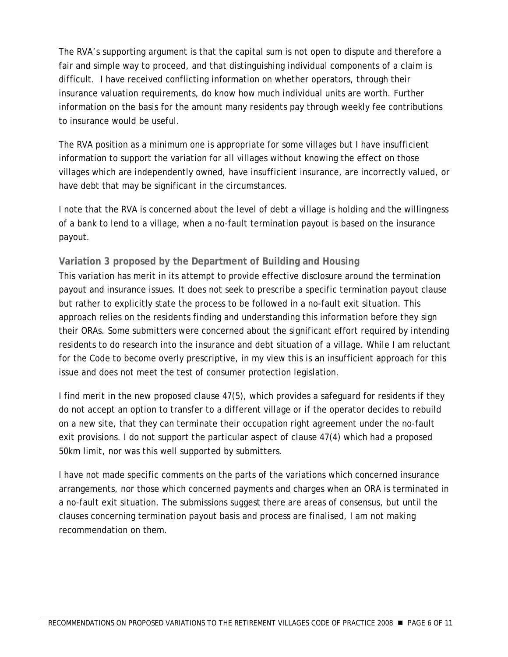<span id="page-7-0"></span>The RVA's supporting argument is that the capital sum is not open to dispute and therefore a fair and simple way to proceed, and that distinguishing individual components of a claim is difficult. I have received conflicting information on whether operators, through their insurance valuation requirements, do know how much individual units are worth. Further information on the basis for the amount many residents pay through weekly fee contributions to insurance would be useful.

The RVA position as a minimum one is appropriate for some villages but I have insufficient information to support the variation for all villages without knowing the effect on those villages which are independently owned, have insufficient insurance, are incorrectly valued, or have debt that may be significant in the circumstances.

I note that the RVA is concerned about the level of debt a village is holding and the willingness of a bank to lend to a village, when a no-fault termination payout is based on the insurance payout.

#### **Variation 3 proposed by the Department of Building and Housing**

This variation has merit in its attempt to provide effective disclosure around the termination payout and insurance issues. It does not seek to prescribe a specific termination payout clause but rather to explicitly state the process to be followed in a no-fault exit situation. This approach relies on the residents finding and understanding this information before they sign their ORAs. Some submitters were concerned about the significant effort required by intending residents to do research into the insurance and debt situation of a village. While I am reluctant for the Code to become overly prescriptive, in my view this is an insufficient approach for this issue and does not meet the test of consumer protection legislation.

I find merit in the new proposed clause 47(5), which provides a safeguard for residents if they do not accept an option to transfer to a different village or if the operator decides to rebuild on a new site, that they can terminate their occupation right agreement under the no-fault exit provisions. I do not support the particular aspect of clause 47(4) which had a proposed 50km limit, nor was this well supported by submitters.

I have not made specific comments on the parts of the variations which concerned insurance arrangements, nor those which concerned payments and charges when an ORA is terminated in a no-fault exit situation. The submissions suggest there are areas of consensus, but until the clauses concerning termination payout basis and process are finalised, I am not making recommendation on them.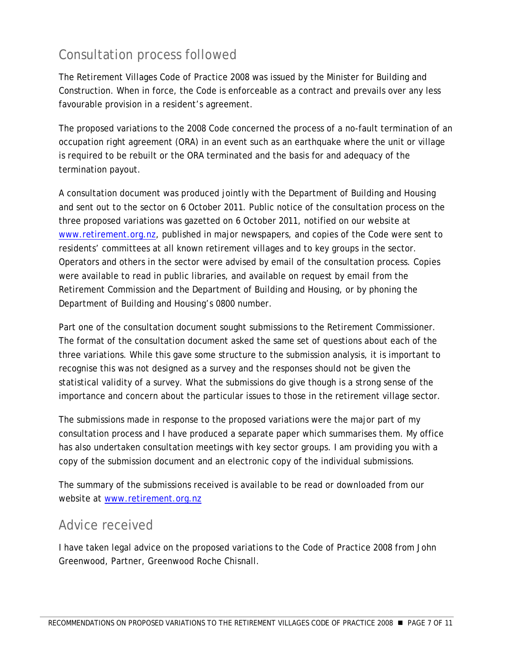## <span id="page-8-0"></span>Consultation process followed

The Retirement Villages Code of Practice 2008 was issued by the Minister for Building and Construction. When in force, the Code is enforceable as a contract and prevails over any less favourable provision in a resident's agreement.

The proposed variations to the 2008 Code concerned the process of a no-fault termination of an occupation right agreement (ORA) in an event such as an earthquake where the unit or village is required to be rebuilt or the ORA terminated and the basis for and adequacy of the termination payout.

A consultation document was produced jointly with the Department of Building and Housing and sent out to the sector on 6 October 2011. Public notice of the consultation process on the three proposed variations was gazetted on 6 October 2011, notified on our website at [www.retirement.org.nz](http://www.retirement.org.nz/), published in major newspapers, and copies of the Code were sent to residents' committees at all known retirement villages and to key groups in the sector. Operators and others in the sector were advised by email of the consultation process. Copies were available to read in public libraries, and available on request by email from the Retirement Commission and the Department of Building and Housing, or by phoning the Department of Building and Housing's 0800 number.

Part one of the consultation document sought submissions to the Retirement Commissioner. The format of the consultation document asked the same set of questions about each of the three variations. While this gave some structure to the submission analysis, it is important to recognise this was not designed as a survey and the responses should not be given the statistical validity of a survey. What the submissions do give though is a strong sense of the importance and concern about the particular issues to those in the retirement village sector.

The submissions made in response to the proposed variations were the major part of my consultation process and I have produced a separate paper which summarises them. My office has also undertaken consultation meetings with key sector groups. I am providing you with a copy of the submission document and an electronic copy of the individual submissions.

The summary of the submissions received is available to be read or downloaded from our website at [www.retirement.org.nz](http://www.retirement.org.nz/)

### Advice received

I have taken legal advice on the proposed variations to the Code of Practice 2008 from John Greenwood, Partner, Greenwood Roche Chisnall.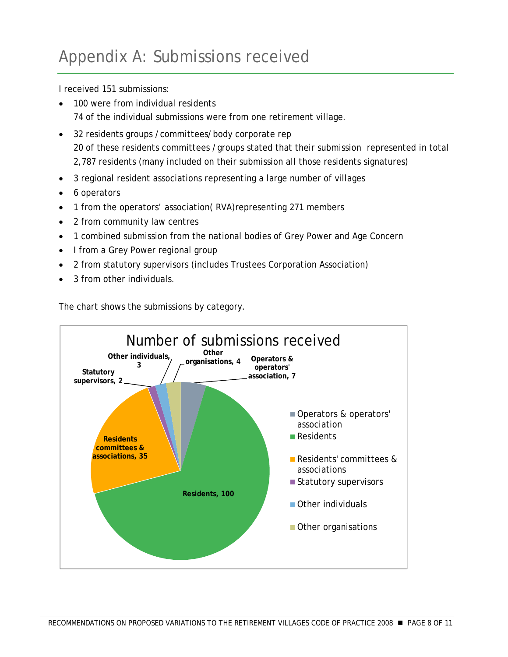<span id="page-9-0"></span>I received 151 submissions:

- 100 were from individual residents 74 of the individual submissions were from one retirement village.
- 32 residents groups /committees/body corporate rep 20 of these residents committees /groups stated that their submission represented in total 2,787 residents (many included on their submission all those residents signatures)
- 3 regional resident associations representing a large number of villages
- 6 operators
- 1 from the operators' association( RVA)representing 271 members
- 2 from community law centres
- 1 combined submission from the national bodies of Grey Power and Age Concern
- I from a Grey Power regional group
- 2 from statutory supervisors (includes Trustees Corporation Association)
- 3 from other individuals.

The chart shows the submissions by category.